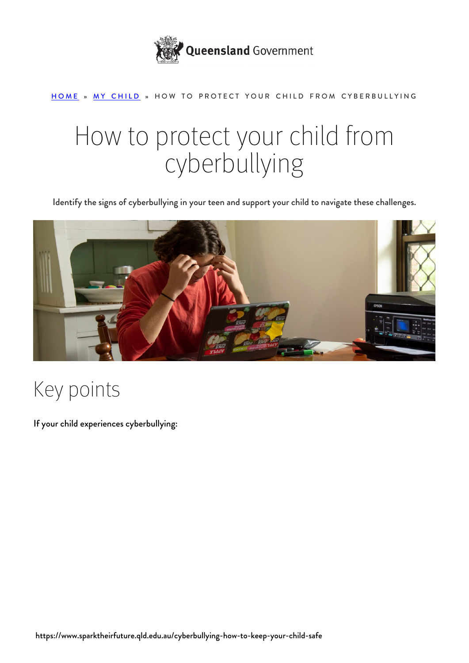

#### [HOME](https://www.sparktheirfuture.qld.edu.au/) » [MY CHILD](https://www.sparktheirfuture.qld.edu.au/category/my-child/) » HOW TO PROTECT YOUR CHILD FROM CYBERBULLYING

# How to protect your child from cyberbullying

Identify the signs of cyberbullying in your teen and support your child to navigate these challenges.



#### Key points

If your child experiences cyberbullying: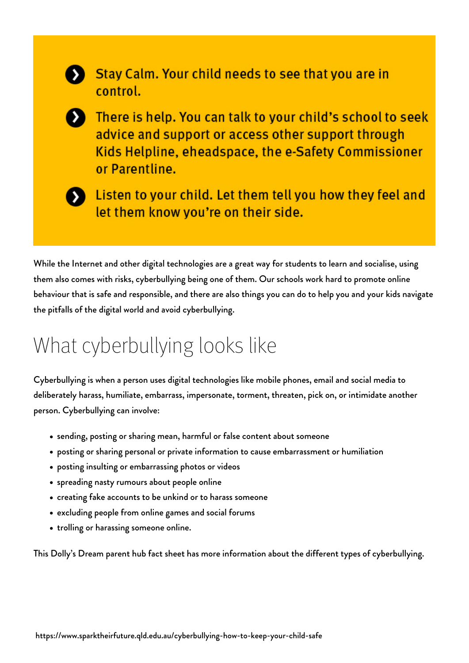

Stay Calm. Your child needs to see that you are in control.

> There is help. You can talk to your child's school to seek advice and support or access other support through Kids Helpline, eheadspace, the e-Safety Commissioner or Parentline.



Listen to your child. Let them tell you how they feel and let them know you're on their side.

While the Internet and other digital technologies are a great way for students to learn and socialise, using them also comes with risks, cyberbullying being one of them. Our schools work hard to promote online behaviour that is safe and responsible, and there are also things you can do to help you and your kids navigate the pitfalls of the digital world and avoid cyberbullying.

#### What cyberbullying looks like

Cyberbullying is when a person uses digital technologies like mobile phones, email and social media to deliberately harass, humiliate, embarrass, impersonate, torment, threaten, pick on, or intimidate another person. Cyberbullying can involve:

- sending, posting or sharing mean, harmful or false content about someone
- posting or sharing personal or private information to cause embarrassment or humiliation
- posting insulting or embarrassing photos or videos
- spreading nasty rumours about people online
- creating fake accounts to be unkind or to harass someone
- excluding people from online games and social forums
- trolling or harassing someone online.

This [Dolly's Dream parent hub fact sheet](https://parenthub.dollysdream.org.au/wp-content/uploads/2019/07/Types-of-cyberbullying_V2.pdf) has more information about the different types of cyberbullying.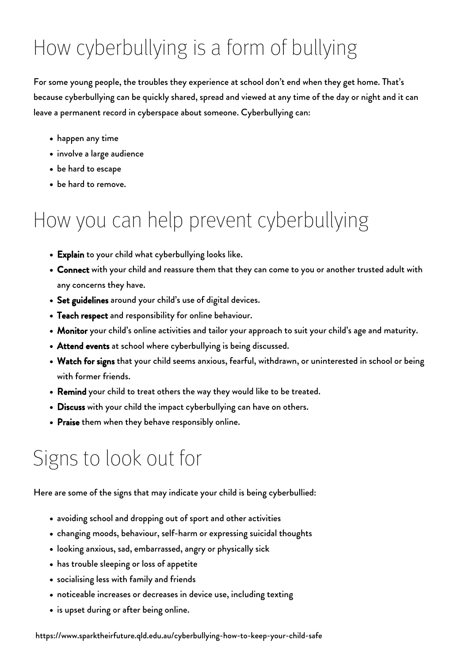# How cyberbullying is a form of bullying

For some young people, the troubles they experience at school don't end when they get home. That's because cyberbullying can be quickly shared, spread and viewed at any time of the day or night and it can leave a permanent record in cyberspace about someone. Cyberbullying can:

- happen any time
- involve a large audience
- be hard to escape
- be hard to remove.

### How you can help prevent cyberbullying

- Explain to your child what cyberbullying looks like.
- Connect with your child and reassure them that they can come to you or another trusted adult with any concerns they have.
- Set guidelines around your child's use of digital devices.
- Teach respect and responsibility for online behaviour.
- Monitor your child's online activities and tailor your approach to suit your child's age and maturity.
- Attend events at school where cyberbullying is being discussed.
- Watch for signs that your child seems anxious, fearful, withdrawn, or uninterested in school or being with former friends.
- Remind your child to treat others the way they would like to be treated.
- Discuss with your child the impact cyberbullying can have on others.
- Praise them when they behave responsibly online.

#### Signs to look out for

Here are some of the signs that may indicate your child is being cyberbullied:

- avoiding school and dropping out of sport and other activities
- changing moods, behaviour, self-harm or expressing suicidal thoughts
- looking anxious, sad, embarrassed, angry or physically sick
- has trouble sleeping or loss of appetite
- socialising less with family and friends
- noticeable increases or decreases in device use, including texting
- is upset during or after being online.

https://www.sparktheirfuture.qld.edu.au/cyberbullying-how-to-keep-your-child-safe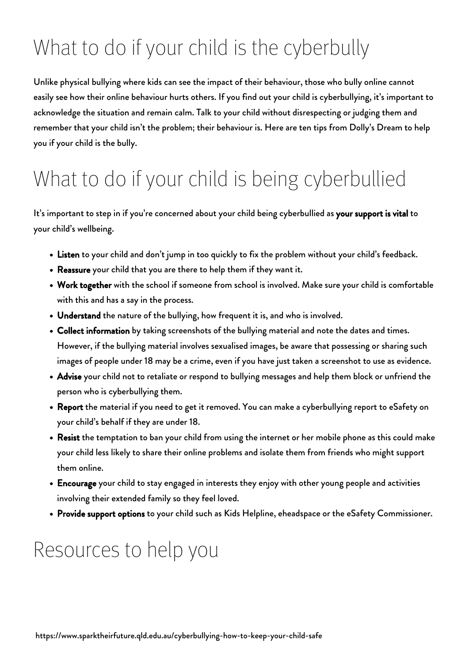## What to do if your child is the cyberbully

Unlike physical bullying where kids can see the impact of their behaviour, those who bully online cannot easily see how their online behaviour hurts others. If you find out your child is cyberbullying, it's important to acknowledge the situation and remain calm. Talk to your child without disrespecting or judging them and remember that your child isn't the problem; their behaviour is. Here are [ten tips from Dolly's Dream](https://parenthub.dollysdream.org.au/wp-content/uploads/2019/07/Ten-tips-if-your-child-is-the-bully_V2.pdf) to help you if your child is the bully.

## What to do if your child is being cyberbullied

It's important to step in if you're concerned about your child being cyberbullied as your support is vital to your child's wellbeing.

- . Listen to your child and don't jump in too quickly to fix the problem without your child's feedback.
- Reassure your child that you are there to help them if they want it.
- Work together with the school if someone from school is involved. Make sure your child is comfortable with this and has a say in the process.
- Understand the nature of the bullying, how frequent it is, and who is involved.
- Collect information by taking screenshots of the bullying material and note the dates and times. However, if the bullying material involves sexualised images, be aware that possessing or sharing such images of people under 18 may be a crime, even if you have just taken a screenshot to use as evidence.
- Advise your child not to retaliate or respond to bullying messages and help them block or unfriend the person who is cyberbullying them.
- Report the material if you need to get it removed. You can make a [cyberbullying report to eSafety](https://www.esafety.gov.au/report/cyberbullying) on your child's behalf if they are under 18.
- Resist the temptation to ban your child from using the internet or her mobile phone as this could make your child less likely to share their online problems and isolate them from friends who might support them online.
- Encourage your child to stay engaged in interests they enjoy with other young people and activities involving their extended family so they feel loved.
- Provide support options to your child such as [Kids Helpline,](https://kidshelpline.com.au/parents) [eheadspace](https://headspace.org.au/eheadspace/) or the [eSafety Commissioner.](https://www.esafety.gov.au/parents/big-issues/cyberbullying)

#### Resources to help you